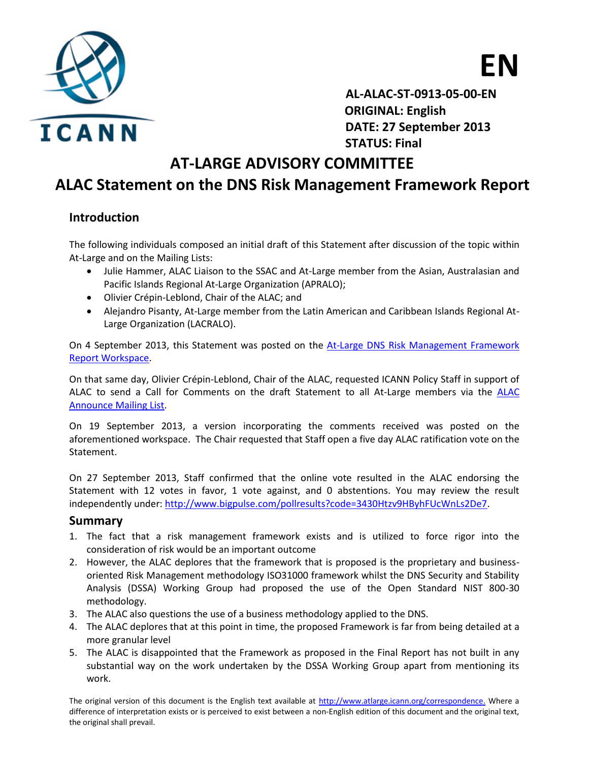



 **AL-ALAC-ST-0913-05-00-EN ORIGINAL: English DATE: 27 September 2013 STATUS: Final**

## **AT-LARGE ADVISORY COMMITTEE**

## **ALAC Statement on the DNS Risk Management Framework Report**

### **Introduction**

The following individuals composed an initial draft of this Statement after discussion of the topic within At-Large and on the Mailing Lists:

- Julie Hammer, ALAC Liaison to the SSAC and At-Large member from the Asian, Australasian and Pacific Islands Regional At-Large Organization (APRALO);
- Olivier Crépin-Leblond, Chair of the ALAC; and
- Alejandro Pisanty, At-Large member from the Latin American and Caribbean Islands Regional At-Large Organization (LACRALO).

On 4 September 2013, this Statement was posted on the [At-Large DNS Risk Management Framework](https://community.icann.org/x/XQOMAg)  [Report Workspace.](https://community.icann.org/x/XQOMAg)

On that same day, Olivier Crépin-Leblond, Chair of the ALAC, requested ICANN Policy Staff in support of ALAC to send a Call for Comments on the draft Statement to all At-Large members via the [ALAC](http://atlarge-lists.icann.org/pipermail/alac-announce/2013q2/001620.html)  [Announce Mailing List.](http://atlarge-lists.icann.org/pipermail/alac-announce/2013q2/001620.html)

On 19 September 2013, a version incorporating the comments received was posted on the aforementioned workspace. The Chair requested that Staff open a five day ALAC ratification vote on the Statement.

On 27 September 2013, Staff confirmed that the online vote resulted in the ALAC endorsing the Statement with 12 votes in favor, 1 vote against, and 0 abstentions. You may review the result independently under: [http://www.bigpulse.com/pollresults?code=3430Htzv9HByhFUcWnLs2De7.](http://www.bigpulse.com/pollresults?code=3430Htzv9HByhFUcWnLs2De7)

#### **Summary**

- 1. The fact that a risk management framework exists and is utilized to force rigor into the consideration of risk would be an important outcome
- 2. However, the ALAC deplores that the framework that is proposed is the proprietary and businessoriented Risk Management methodology ISO31000 framework whilst the DNS Security and Stability Analysis (DSSA) Working Group had proposed the use of the Open Standard NIST 800-30 methodology.
- 3. The ALAC also questions the use of a business methodology applied to the DNS.
- 4. The ALAC deplores that at this point in time, the proposed Framework is far from being detailed at a more granular level
- 5. The ALAC is disappointed that the Framework as proposed in the Final Report has not built in any substantial way on the work undertaken by the DSSA Working Group apart from mentioning its work.

The original version of this document is the English text available at http://www.atlarge.icann.org/correspondence. Where a difference of interpretation exists or is perceived to exist between a non-English edition of this document and the original text, the original shall prevail.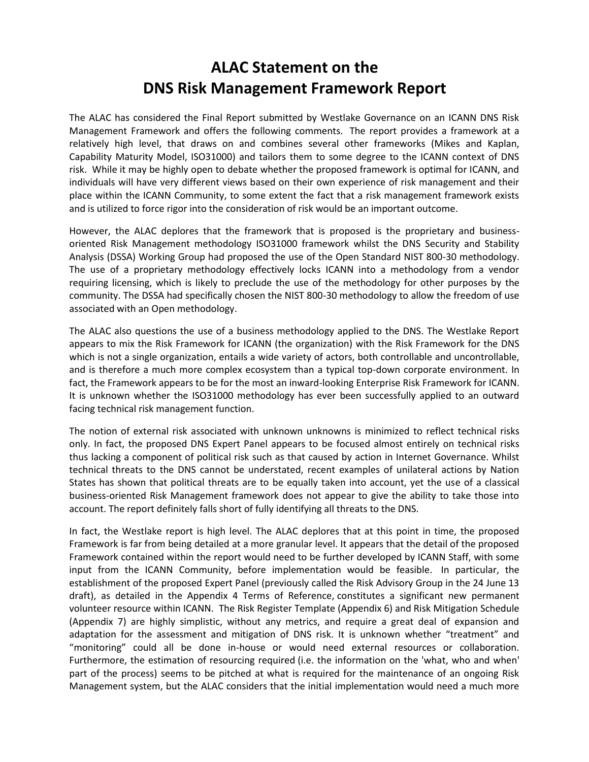# **ALAC Statement on the DNS Risk Management Framework Report**

The ALAC has considered the Final Report submitted by Westlake Governance on an ICANN DNS Risk Management Framework and offers the following comments. The report provides a framework at a relatively high level, that draws on and combines several other frameworks (Mikes and Kaplan, Capability Maturity Model, ISO31000) and tailors them to some degree to the ICANN context of DNS risk. While it may be highly open to debate whether the proposed framework is optimal for ICANN, and individuals will have very different views based on their own experience of risk management and their place within the ICANN Community, to some extent the fact that a risk management framework exists and is utilized to force rigor into the consideration of risk would be an important outcome.

However, the ALAC deplores that the framework that is proposed is the proprietary and businessoriented Risk Management methodology ISO31000 framework whilst the DNS Security and Stability Analysis (DSSA) Working Group had proposed the use of the Open Standard NIST 800-30 methodology. The use of a proprietary methodology effectively locks ICANN into a methodology from a vendor requiring licensing, which is likely to preclude the use of the methodology for other purposes by the community. The DSSA had specifically chosen the NIST 800-30 methodology to allow the freedom of use associated with an Open methodology.

The ALAC also questions the use of a business methodology applied to the DNS. The Westlake Report appears to mix the Risk Framework for ICANN (the organization) with the Risk Framework for the DNS which is not a single organization, entails a wide variety of actors, both controllable and uncontrollable, and is therefore a much more complex ecosystem than a typical top-down corporate environment. In fact, the Framework appears to be for the most an inward-looking Enterprise Risk Framework for ICANN. It is unknown whether the ISO31000 methodology has ever been successfully applied to an outward facing technical risk management function.

The notion of external risk associated with unknown unknowns is minimized to reflect technical risks only. In fact, the proposed DNS Expert Panel appears to be focused almost entirely on technical risks thus lacking a component of political risk such as that caused by action in Internet Governance. Whilst technical threats to the DNS cannot be understated, recent examples of unilateral actions by Nation States has shown that political threats are to be equally taken into account, yet the use of a classical business-oriented Risk Management framework does not appear to give the ability to take those into account. The report definitely falls short of fully identifying all threats to the DNS.

In fact, the Westlake report is high level. The ALAC deplores that at this point in time, the proposed Framework is far from being detailed at a more granular level. It appears that the detail of the proposed Framework contained within the report would need to be further developed by ICANN Staff, with some input from the ICANN Community, before implementation would be feasible. In particular, the establishment of the proposed Expert Panel (previously called the Risk Advisory Group in the 24 June 13 draft), as detailed in the Appendix 4 Terms of Reference, constitutes a significant new permanent volunteer resource within ICANN. The Risk Register Template (Appendix 6) and Risk Mitigation Schedule (Appendix 7) are highly simplistic, without any metrics, and require a great deal of expansion and adaptation for the assessment and mitigation of DNS risk. It is unknown whether "treatment" and "monitoring" could all be done in-house or would need external resources or collaboration. Furthermore, the estimation of resourcing required (i.e. the information on the 'what, who and when' part of the process) seems to be pitched at what is required for the maintenance of an ongoing Risk Management system, but the ALAC considers that the initial implementation would need a much more